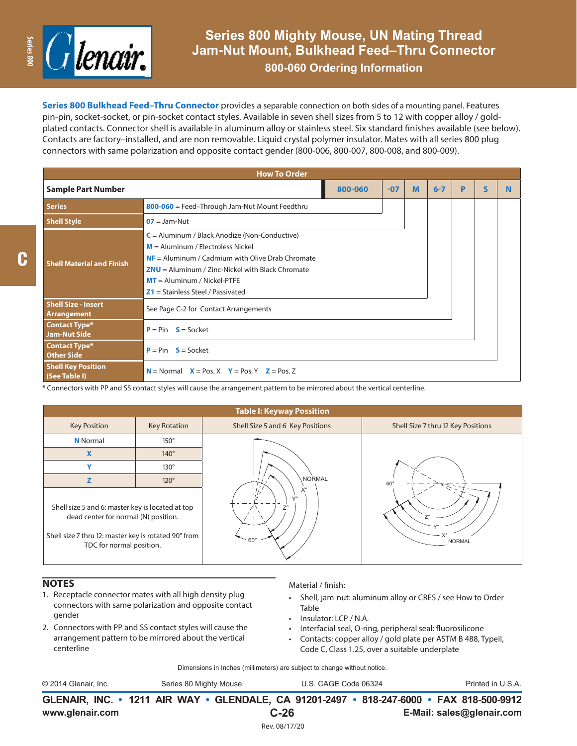

**800-060 Ordering Information**

**Series 800 Bulkhead Feed–Thru Connector** provides a separable connection on both sides of a mounting panel. Features pin-pin, socket-socket, or pin-socket contact styles. Available in seven shell sizes from 5 to 12 with copper alloy / goldplated contacts. Connector shell is available in aluminum alloy or stainless steel. Six standard finishes available (see below). Contacts are factory–installed, and are non removable. Liquid crystal polymer insulator. Mates with all series 800 plug connectors with same polarization and opposite contact gender (800-006, 800-007, 800-008, and 800-009).

| <b>How To Order</b>                              |                                                                                                                                                                                                                                                                            |       |   |         |   |              |          |  |  |  |  |  |
|--------------------------------------------------|----------------------------------------------------------------------------------------------------------------------------------------------------------------------------------------------------------------------------------------------------------------------------|-------|---|---------|---|--------------|----------|--|--|--|--|--|
| <b>Sample Part Number</b>                        | 800-060                                                                                                                                                                                                                                                                    | $-07$ | M | $6 - 7$ | P | $\mathsf{s}$ | <b>N</b> |  |  |  |  |  |
| <b>Series</b>                                    | 800-060 = Feed-Through Jam-Nut Mount Feedthru                                                                                                                                                                                                                              |       |   |         |   |              |          |  |  |  |  |  |
| <b>Shell Style</b>                               | $OZ =$ Jam-Nut                                                                                                                                                                                                                                                             |       |   |         |   |              |          |  |  |  |  |  |
| <b>Shell Material and Finish</b>                 | $C =$ Aluminum / Black Anodize (Non-Conductive)<br>$M =$ Aluminum / Electroless Nickel<br>$NF =$ Aluminum / Cadmium with Olive Drab Chromate<br>$ZNU =$ Aluminum / Zinc-Nickel with Black Chromate<br>$MT =$ Aluminum / Nickel-PTFE<br>$Z1 =$ Stainless Steel / Passivated |       |   |         |   |              |          |  |  |  |  |  |
| <b>Shell Size - Insert</b><br><b>Arrangement</b> | See Page C-2 for Contact Arrangements                                                                                                                                                                                                                                      |       |   |         |   |              |          |  |  |  |  |  |
| <b>Contact Type*</b><br><b>Jam-Nut Side</b>      | $P = Pin$ $S = Sockets$                                                                                                                                                                                                                                                    |       |   |         |   |              |          |  |  |  |  |  |
| <b>Contact Type*</b><br><b>Other Side</b>        | $P = Pin$ $S = Socket$                                                                                                                                                                                                                                                     |       |   |         |   |              |          |  |  |  |  |  |
| <b>Shell Key Position</b><br>$(See$ Table I)     | $N =$ Normal $X =$ Pos. $X$ $Y =$ Pos. $Y$ $Z =$ Pos. Z                                                                                                                                                                                                                    |       |   |         |   |              |          |  |  |  |  |  |

\* Connectors with PP and SS contact styles will cause the arrangement pattern to be mirrored about the vertical centerline.



## **NOTES**

C

- 1. Receptacle connector mates with all high density plug connectors with same polarization and opposite contact gender
- 2. Connectors with PP and SS contact styles will cause the arrangement pattern to be mirrored about the vertical centerline

## Material / finish:

- Shell, jam-nut: aluminum alloy or CRES / see How to Order Table
- Insulator: LCP / N.A.
- Interfacial seal, O-ring, peripheral seal: fluorosilicone
- Contacts: copper alloy / gold plate per ASTM B 488, TypeII, Code C, Class 1.25, over a suitable underplate

Dimensions in Inches (millimeters) are subject to change without notice.

**GLENAIR, INC. • 1211 AIR WAY • GLENDALE, CA 91201-2497 • 818-247-6000 • FAX 818-500-9912** © 2014 Glenair, Inc. Series 80 Mighty Mouse U.S. CAGE Code 06324 Printed in U.S.A.